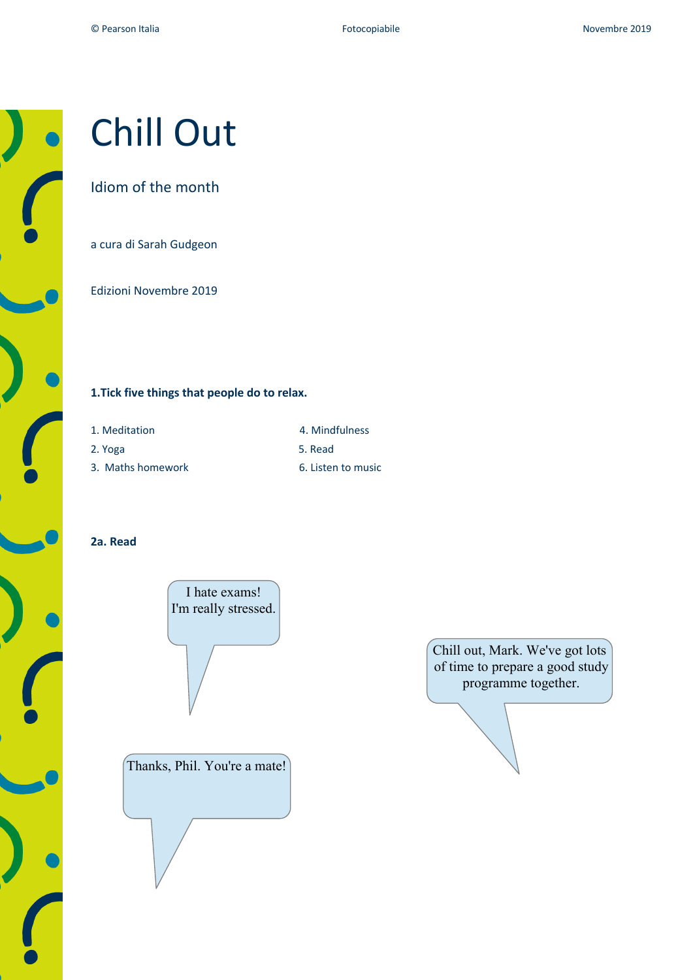

# Chill Out

## Idiom of the month

a cura di Sarah Gudgeon

Edizioni Novembre 2019

## **1.Tick five things that people do to relax.**

- 
- 2. Yoga 5. Read
- 3. Maths homework 6. Listen to music
- 1. Meditation **4. Mindfulness** 
	-
	-

## **2a. Read**





Chill out, Mark. We've got lots of time to prepare a good study programme together.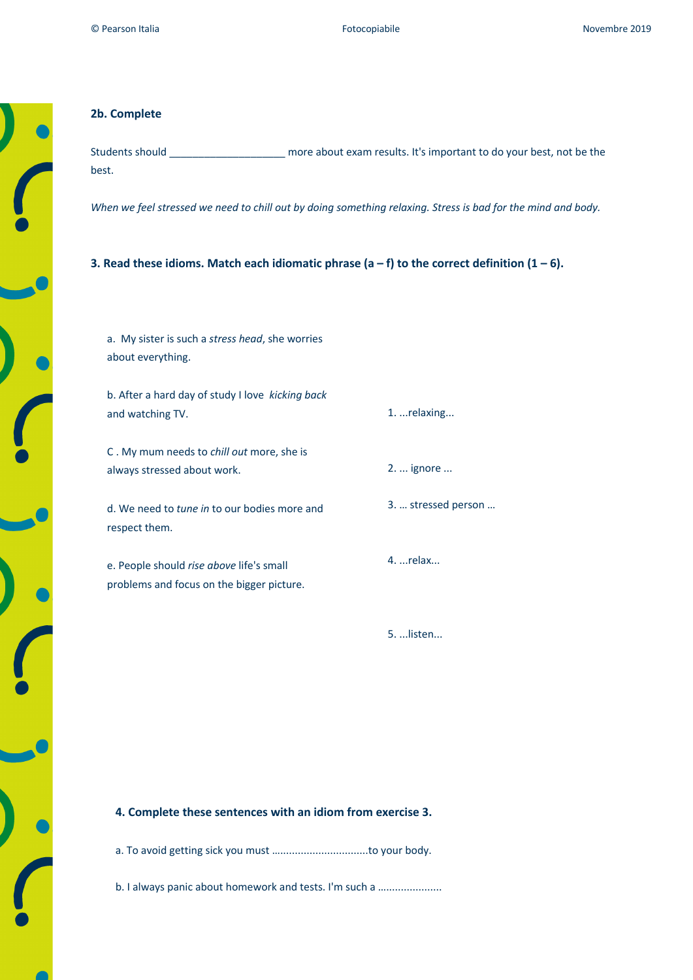#### **2b. Complete**

Students should \_\_\_\_\_\_\_\_\_\_\_\_\_\_\_\_\_\_\_\_ more about exam results. It's important to do your best, not be the best.

*When we feel stressed we need to chill out by doing something relaxing. Stress is bad for the mind and body.*

**3. Read these idioms. Match each idiomatic phrase (a – f) to the correct definition (1 – 6).** 

a. My sister is such a *stress head*, she worries about everything.

b. After a hard day of study I love *kicking back*  and watching TV.

C . My mum needs to *chill out* more, she is always stressed about work.

d. We need to *tune in* to our bodies more and respect them.

e. People should *rise above* life's small problems and focus on the bigger picture. 1. ...relaxing...

2. ... ignore ...

3. … stressed person …

4. ...relax...

5. ...listen...

#### **4. Complete these sentences with an idiom from exercise 3.**

a. To avoid getting sick you must …..............................to your body.

b. I always panic about homework and tests. I'm such a .......................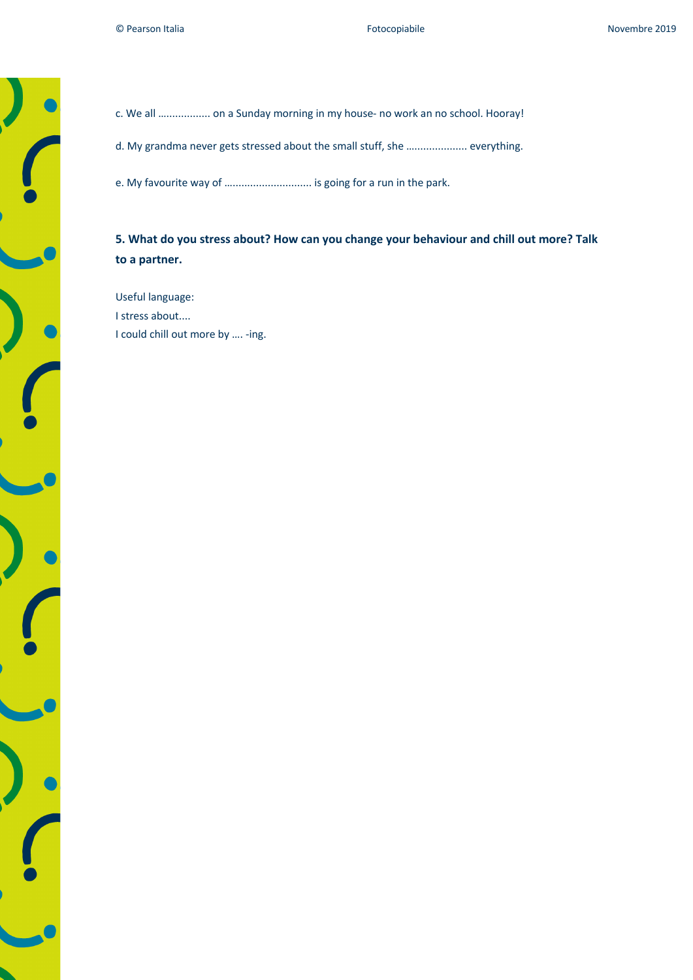# c. We all …............... on a Sunday morning in my house- no work an no school. Hooray!

d. My grandma never gets stressed about the small stuff, she ….................. everything.

e. My favourite way of …........................... is going for a run in the park.

# **5. What do you stress about? How can you change your behaviour and chill out more? Talk to a partner.**

Useful language: I stress about.... I could chill out more by …. -ing.